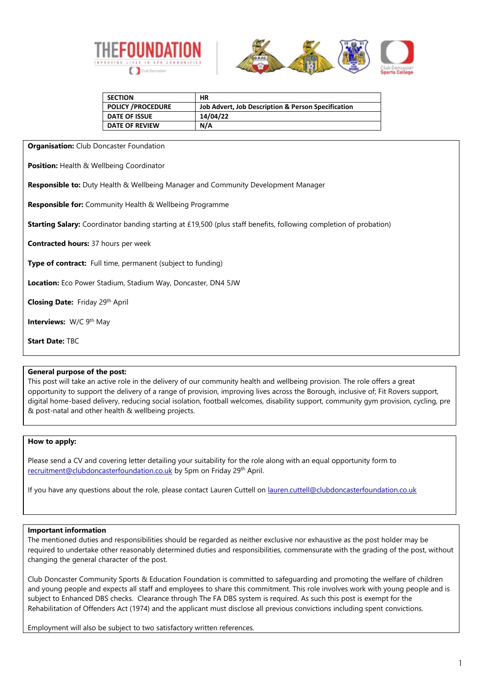



| <b>SECTION</b>            | НR                                                 |
|---------------------------|----------------------------------------------------|
| <b>POLICY / PROCEDURE</b> | Job Advert, Job Description & Person Specification |
| <b>DATE OF ISSUE</b>      | 14/04/22                                           |
| <b>DATE OF REVIEW</b>     | N/A                                                |

**Organisation:** Club Doncaster Foundation

**Position:** Health & Wellbeing Coordinator

**Responsible to:** Duty Health & Wellbeing Manager and Community Development Manager

**Responsible for:** Community Health & Wellbeing Programme

**Starting Salary:** Coordinator banding starting at £19,500 (plus staff benefits, following completion of probation)

**Contracted hours:** 37 hours per week

**Type of contract:** Full time, permanent (subject to funding)

**Location:** Eco Power Stadium, Stadium Way, Doncaster, DN4 5JW

**Closing Date:** Friday 29th April

**Interviews: W/C 9th May** 

**Start Date:** TBC

### **General purpose of the post:**

This post will take an active role in the delivery of our community health and wellbeing provision. The role offers a great opportunity to support the delivery of a range of provision, improving lives across the Borough, inclusive of; Fit Rovers support, digital home-based delivery, reducing social isolation, football welcomes, disability support, community gym provision, cycling, pre & post-natal and other health & wellbeing projects.

### **How to apply:**

Please send a CV and covering letter detailing your suitability for the role along with an equal opportunity form to [recruitment@clubdoncasterfoundation.co.uk](mailto:recruitment@clubdoncasterfoundation.co.uk) by 5pm on Friday 29th April.

If you have any questions about the role, please contact Lauren Cuttell on [lauren.cuttell@clubdoncasterfoundation.co.uk](mailto:lauren.cuttell@clubdoncasterfoundation.co.uk)

### **Important information**

The mentioned duties and responsibilities should be regarded as neither exclusive nor exhaustive as the post holder may be required to undertake other reasonably determined duties and responsibilities, commensurate with the grading of the post, without changing the general character of the post.

Club Doncaster Community Sports & Education Foundation is committed to safeguarding and promoting the welfare of children and young people and expects all staff and employees to share this commitment. This role involves work with young people and is subject to Enhanced DBS checks. Clearance through The FA DBS system is required. As such this post is exempt for the Rehabilitation of Offenders Act (1974) and the applicant must disclose all previous convictions including spent convictions.

Employment will also be subject to two satisfactory written references.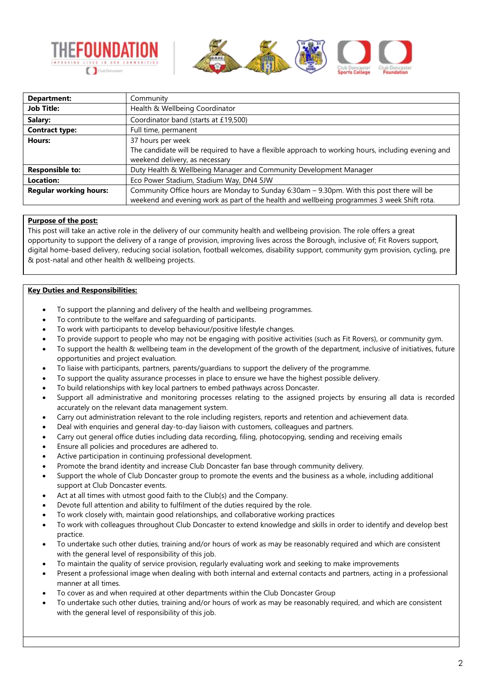



| Department:                   | Community                                                                                          |  |
|-------------------------------|----------------------------------------------------------------------------------------------------|--|
| <b>Job Title:</b>             | Health & Wellbeing Coordinator                                                                     |  |
| Salary:                       | Coordinator band (starts at £19,500)                                                               |  |
| <b>Contract type:</b>         | Full time, permanent                                                                               |  |
| Hours:                        | 37 hours per week                                                                                  |  |
|                               | The candidate will be required to have a flexible approach to working hours, including evening and |  |
|                               | weekend delivery, as necessary                                                                     |  |
| <b>Responsible to:</b>        | Duty Health & Wellbeing Manager and Community Development Manager                                  |  |
| Location:                     | Eco Power Stadium, Stadium Way, DN4 5JW                                                            |  |
| <b>Regular working hours:</b> | Community Office hours are Monday to Sunday 6:30am - 9.30pm. With this post there will be          |  |
|                               | weekend and evening work as part of the health and wellbeing programmes 3 week Shift rota.         |  |

## **Purpose of the post:**

This post will take an active role in the delivery of our community health and wellbeing provision. The role offers a great opportunity to support the delivery of a range of provision, improving lives across the Borough, inclusive of; Fit Rovers support, digital home-based delivery, reducing social isolation, football welcomes, disability support, community gym provision, cycling, pre & post-natal and other health & wellbeing projects.

## **Key Duties and Responsibilities:**

- To support the planning and delivery of the health and wellbeing programmes.
- To contribute to the welfare and safeguarding of participants.
- To work with participants to develop behaviour/positive lifestyle changes.
- To provide support to people who may not be engaging with positive activities (such as Fit Rovers), or community gym.
- To support the health & wellbeing team in the development of the growth of the department, inclusive of initiatives, future opportunities and project evaluation.
- To liaise with participants, partners, parents/guardians to support the delivery of the programme.
- To support the quality assurance processes in place to ensure we have the highest possible delivery.
- To build relationships with key local partners to embed pathways across Doncaster.
- Support all administrative and monitoring processes relating to the assigned projects by ensuring all data is recorded accurately on the relevant data management system.
- Carry out administration relevant to the role including registers, reports and retention and achievement data.
- Deal with enquiries and general day-to-day liaison with customers, colleagues and partners.
- Carry out general office duties including data recording, filing, photocopying, sending and receiving emails
- Ensure all policies and procedures are adhered to.
- Active participation in continuing professional development.
- Promote the brand identity and increase Club Doncaster fan base through community delivery.
- Support the whole of Club Doncaster group to promote the events and the business as a whole, including additional support at Club Doncaster events.
- Act at all times with utmost good faith to the Club(s) and the Company.
- Devote full attention and ability to fulfilment of the duties required by the role.
- To work closely with, maintain good relationships, and collaborative working practices
- To work with colleagues throughout Club Doncaster to extend knowledge and skills in order to identify and develop best practice.
- To undertake such other duties, training and/or hours of work as may be reasonably required and which are consistent with the general level of responsibility of this job.
- To maintain the quality of service provision, regularly evaluating work and seeking to make improvements
- Present a professional image when dealing with both internal and external contacts and partners, acting in a professional manner at all times.
- To cover as and when required at other departments within the Club Doncaster Group
- To undertake such other duties, training and/or hours of work as may be reasonably required, and which are consistent with the general level of responsibility of this job.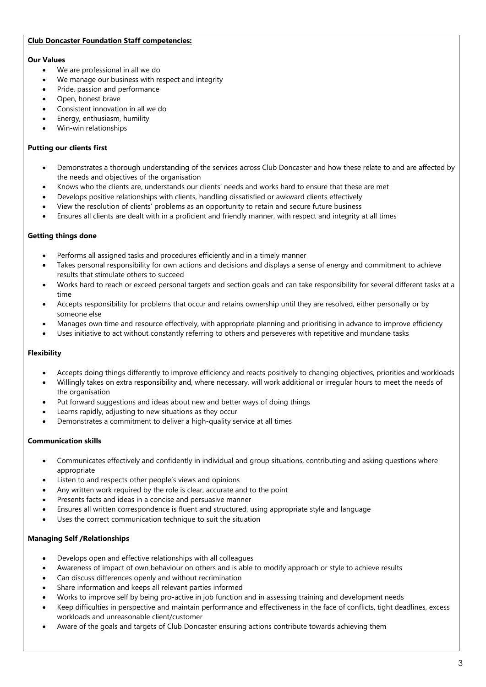## **Club Doncaster Foundation Staff competencies:**

## **Our Values**

- We are professional in all we do
- We manage our business with respect and integrity
- Pride, passion and performance
- Open, honest brave
- Consistent innovation in all we do
- Energy, enthusiasm, humility
- Win-win relationships

## **Putting our clients first**

- Demonstrates a thorough understanding of the services across Club Doncaster and how these relate to and are affected by the needs and objectives of the organisation
- Knows who the clients are, understands our clients' needs and works hard to ensure that these are met
- Develops positive relationships with clients, handling dissatisfied or awkward clients effectively
- View the resolution of clients' problems as an opportunity to retain and secure future business
- Ensures all clients are dealt with in a proficient and friendly manner, with respect and integrity at all times

## **Getting things done**

- Performs all assigned tasks and procedures efficiently and in a timely manner
- Takes personal responsibility for own actions and decisions and displays a sense of energy and commitment to achieve results that stimulate others to succeed
- Works hard to reach or exceed personal targets and section goals and can take responsibility for several different tasks at a time
- Accepts responsibility for problems that occur and retains ownership until they are resolved, either personally or by someone else
- Manages own time and resource effectively, with appropriate planning and prioritising in advance to improve efficiency
- Uses initiative to act without constantly referring to others and perseveres with repetitive and mundane tasks

# **Flexibility**

- Accepts doing things differently to improve efficiency and reacts positively to changing objectives, priorities and workloads
- Willingly takes on extra responsibility and, where necessary, will work additional or irregular hours to meet the needs of the organisation
- Put forward suggestions and ideas about new and better ways of doing things
- Learns rapidly, adjusting to new situations as they occur
- Demonstrates a commitment to deliver a high-quality service at all times

# **Communication skills**

- Communicates effectively and confidently in individual and group situations, contributing and asking questions where appropriate
- Listen to and respects other people's views and opinions
- Any written work required by the role is clear, accurate and to the point
- Presents facts and ideas in a concise and persuasive manner
- Ensures all written correspondence is fluent and structured, using appropriate style and language
- Uses the correct communication technique to suit the situation

# **Managing Self /Relationships**

- Develops open and effective relationships with all colleagues
- Awareness of impact of own behaviour on others and is able to modify approach or style to achieve results
- Can discuss differences openly and without recrimination
- Share information and keeps all relevant parties informed
- Works to improve self by being pro-active in job function and in assessing training and development needs
- Keep difficulties in perspective and maintain performance and effectiveness in the face of conflicts, tight deadlines, excess workloads and unreasonable client/customer
- Aware of the goals and targets of Club Doncaster ensuring actions contribute towards achieving them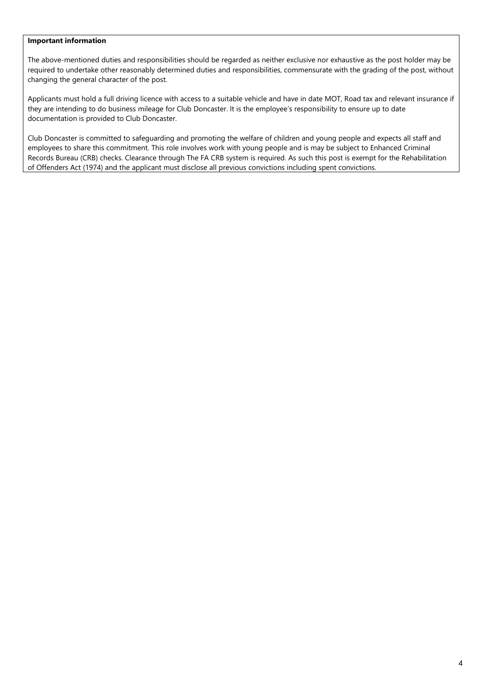## **Important information**

The above-mentioned duties and responsibilities should be regarded as neither exclusive nor exhaustive as the post holder may be required to undertake other reasonably determined duties and responsibilities, commensurate with the grading of the post, without changing the general character of the post.

Applicants must hold a full driving licence with access to a suitable vehicle and have in date MOT, Road tax and relevant insurance if they are intending to do business mileage for Club Doncaster. It is the employee's responsibility to ensure up to date documentation is provided to Club Doncaster.

Club Doncaster is committed to safeguarding and promoting the welfare of children and young people and expects all staff and employees to share this commitment. This role involves work with young people and is may be subject to Enhanced Criminal Records Bureau (CRB) checks. Clearance through The FA CRB system is required. As such this post is exempt for the Rehabilitation of Offenders Act (1974) and the applicant must disclose all previous convictions including spent convictions.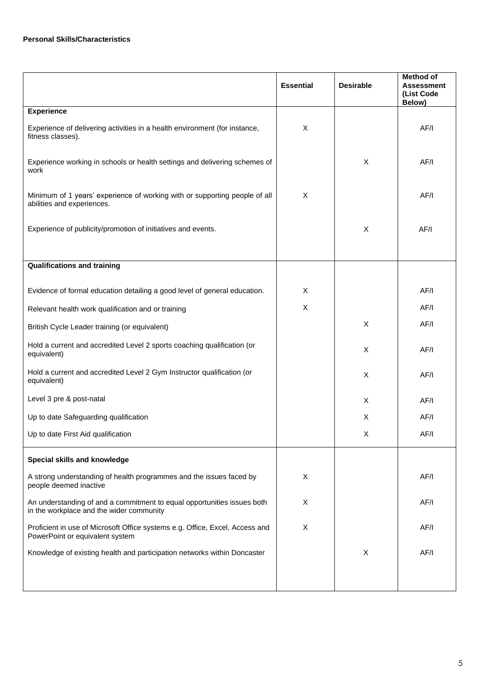|                                                                                                                     | <b>Essential</b> | <b>Desirable</b> | <b>Method of</b><br><b>Assessment</b><br>(List Code<br>Below) |
|---------------------------------------------------------------------------------------------------------------------|------------------|------------------|---------------------------------------------------------------|
| <b>Experience</b>                                                                                                   |                  |                  |                                                               |
| Experience of delivering activities in a health environment (for instance,<br>fitness classes).                     | X                |                  | AF/I                                                          |
| Experience working in schools or health settings and delivering schemes of<br>work                                  |                  | X                | AF/I                                                          |
| Minimum of 1 years' experience of working with or supporting people of all<br>abilities and experiences.            | X                |                  | AF/I                                                          |
| Experience of publicity/promotion of initiatives and events.                                                        |                  | X                | AF/I                                                          |
|                                                                                                                     |                  |                  |                                                               |
| <b>Qualifications and training</b>                                                                                  |                  |                  |                                                               |
| Evidence of formal education detailing a good level of general education.                                           | X                |                  | AF/I                                                          |
| Relevant health work qualification and or training                                                                  | X                |                  | AF/I                                                          |
| British Cycle Leader training (or equivalent)                                                                       |                  | X                | AF/I                                                          |
| Hold a current and accredited Level 2 sports coaching qualification (or<br>equivalent)                              |                  | X                | AF/I                                                          |
| Hold a current and accredited Level 2 Gym Instructor qualification (or<br>equivalent)                               |                  | X                | AF/I                                                          |
| Level 3 pre & post-natal                                                                                            |                  | X                | AF/I                                                          |
| Up to date Safeguarding qualification                                                                               |                  | X                | AF/I                                                          |
| Up to date First Aid qualification                                                                                  |                  | X                | AF/I                                                          |
| Special skills and knowledge                                                                                        |                  |                  |                                                               |
| A strong understanding of health programmes and the issues faced by<br>people deemed inactive                       | Χ                |                  | AF/I                                                          |
| An understanding of and a commitment to equal opportunities issues both<br>in the workplace and the wider community | X                |                  | AF/I                                                          |
| Proficient in use of Microsoft Office systems e.g. Office, Excel, Access and<br>PowerPoint or equivalent system     | X                |                  | AF/I                                                          |
| Knowledge of existing health and participation networks within Doncaster                                            |                  | $\times$         | AF/I                                                          |
|                                                                                                                     |                  |                  |                                                               |